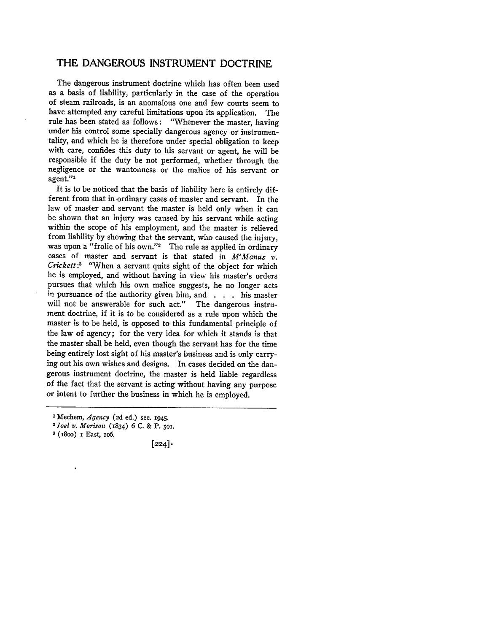## **THE DANGEROUS INSTRUMENT DOCTRINE**

The dangerous instrument doctrine which has often been used as a basis of liability, particularly in the case of the operation of steam railroads, is an anomalous one and few courts seem to have attempted any careful limitations upon its application. The rule has been stated as follows: "Whenever the master, having under his control some specially dangerous agency or instrumentality, and which he is therefore under special obligation to keep with care, confides this duty to his servant or agent, he will be responsible if the duty be not performed, whether through the negligence or the wantonness or the malice of his servant or agent."'

It is to be noticed that the basis of liability here is entirely different from that in ordinary cases of master and servant. In the law of master and servant the master is held only when it can be shown that an injury was caused by his servant while acting within the scope of his employment, and the master is relieved from liability by showing that the servant, who caused the injury, was upon a "frolic of his own."<sup>2</sup> The rule as applied in ordinary cases of master and servant is that stated in *M'Manus v. Crickett:3* "When a servant quits sight of the object for which he is employed, and without having in view his master's orders pursues that which his own malice suggests, he no longer acts in pursuance of the authority given him, and **. .** his master will not be answerable for such act." The dangerous instrument doctrine, if it is to be considered as a rule upon which the master is to be held, is opposed to this fundamental principle of the law of agency; for the very idea for which it stands is that the master shall be held, even though the servant has for the time being entirely lost sight of his master's business and is only carrying out his own wishes and designs. In cases decided on the dangerous instrument doctrine, the master is held liable regardless of the fact that the servant is acting without having any purpose or intent to further the business in which he is employed.

<sup>&#</sup>x27;Mechem, *Agency* **(2d** ed.) sec. **1945.**

*<sup>2</sup>Joel v. Morison* (1834) 6 C. & P. **5o.**

<sup>&</sup>lt;sup>3</sup> (1800) **1 East, 106.** [224].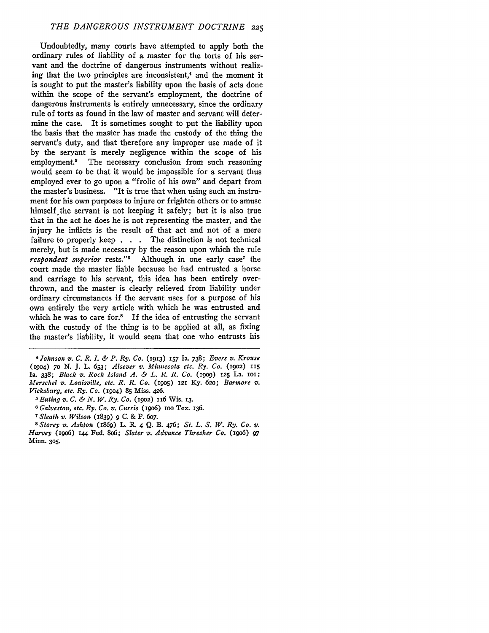Undoubtedly, many courts have attempted to apply both the ordinary rules of liability of a master for the torts of his servant and the doctrine of dangerous instruments without realizing that the two principles are inconsistent,<sup>4</sup> and the moment it is sought to put the master's liability upon the basis of acts done within the scope of the servant's employment, the doctrine of dangerous instruments is entirely unnecessary, since the ordinary rule of torts as found in the law of master and servant will determine the case. It is sometimes sought to put the liability upon the basis that the master has made the custody of the thing the servant's duty, and that therefore any improper use made of it by the seryant is merely negligence within the scope of his employment.5 The necessary conclusion from such reasoning would seem to be that it would be impossible for a servant thus employed ever to go upon a "frolic of his own" and depart from the master's business. "It is true that when using such an instrument for his own purposes to injure or frighten others or to amuse himself the servant is not keeping it safely; but it is also true that in the act he does he is not representing the master, and the injury he inflicts is the result of that act and not of a mere failure to properly keep . **. .** The distinction is not technical merely, but is made necessary by the reason upon which the rule *respondeat superior* rests."<sup>6</sup> Although in one early case<sup>7</sup> the court made the master liable because he bad entrusted a horse and carriage to his servant, this idea has been entirely overthrown, and the master is clearly relieved from liability under ordinary circumstances if the servant uses for a purpose of his own entirely the very article with which he was entrusted and which he was to care for.<sup>8</sup> If the idea of entrusting the servant with the custody of the thing is to be applied at all, as fixing the master's liability, it would seem that one who entrusts his

4 Johnson *v. C. R.* L *& P. Ry. Co.* (913) 157 Ia. 738; *Evers v. Krouse* **(19o4) 70** N. *J.* L. **653;** *Alsever v. Minnesota etc. Ry.* Co. *(i9o2)* **I5** Ia. 338; *Black v. Rock Island A. & L. R. R.* Co. (I9g9) **x25** La. ioi; *M'erschel v. Louisville, etc. R. R. Co.* (i9o5) *2r* Ky. *620; Barmore v. Vicksburg, etc. Ry. Co.* (i9o4) **85** Miss. 426.

**5** *Euting v. C. & N. W. Ry. Co.* (19o2) *i6* Wis. **13.**

*6 Galveston, etc. Ry. Co. v. Currie* **(19o6)** ioo Tex. 136.

*<sup>7</sup>Sleath v. Wilson* (1839) **9 C.** & P. 607. *<sup>8</sup>Storey v. Ashton (1869)* L. R. 4 *Q.* B. 476; *St. L. S. W. Ry. Co. v. Harvey* (igo6) **i44** Fed. 8o6; *Slater o. Advance Thresher Co. (i9o6) 97* Minn. **305.**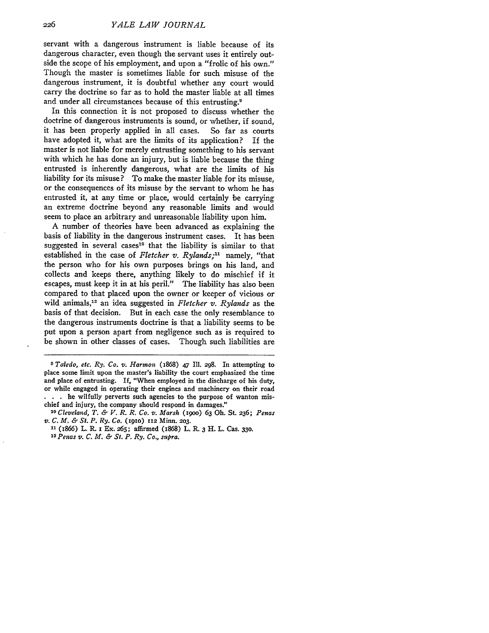servant with a dangerous instrument is liable because of its dangerous character, even though the servant uses it entirely outside the scope of his employment, and upon a "frolic of his own." Though the master is sometimes liable for such misuse of the dangerous instrument, it is doubtful whether any court would carry the doctrine so far as to hold the master liable at all times and under all circumstances because of this entrusting.<sup>9</sup>

In this connection it is not proposed to discuss whether the doctrine of dangerous instruments is sound, or whether, if sound, it has been properly applied in all cases. So far as courts have adopted it, what are the limits of its application? If the master is not liable for merely entrusting something to his servant with which he has done an injury, but is liable because the thing entrusted is inherently dangerous, what are the limits of his liability for its misuse? To make the master liable for its misuse, or the consequences of its misuse by the servant to whom he has entrusted it, at any time or place, would certainly be carrying an extreme doctrine beyond any reasonable limits and would seem to place an arbitrary and unreasonable liability upon him.

A number of theories have been advanced as explaining the basis **of** liability in the dangerous instrument cases. It has been suggested in several cases<sup>10</sup> that the liability is similar to that established in the case of *Fletcher v. Rylands;"l* namely, "that the person who for his own purposes brings on his land, and collects and keeps there, anything likely to do mischief if it escapes, must keep it in at his peril." The liability has also been compared to that placed upon the owner or keeper of vicious or wild animals, 12 an idea suggested in *Fletcher v. Rylands* as the basis of that decision. But in each case the only resemblance to the dangerous instruments doctrine is that a liability seems to be put upon a person apart from negligence such as is required to be shown in other classes of cases. Though such liabilities are

*D Toledo, etc. Ry. Co. v. Harmon* (1868) 47 Ill. **298.** In attempting to place some limit upon the master's liability the court emphasized the time and place of entrusting. If, "When employed in the discharge of his duty, or while engaged in operating their engines and machinery on their road . . . he wilfully perverts such agencies to the purpose of wanton mischief and injury, the company should respond in damages." *<sup>1</sup>*

*<sup>0</sup> Cleveland, T. & V. R. R. Co. v. Marsh* (igoo) **63** Oh. St. **236;** *Penas v. C. M. & St. P. Ry. Co.* (igio) **112** Minn. **2o3.**

**<sup>11</sup>**(1866) L. R. i Ex. **265;** affirmed (1868) L. R. **3** H. L. Cas. **330.** *2 2 Penas v. C. M. & St. P. Ry. Co., supra.*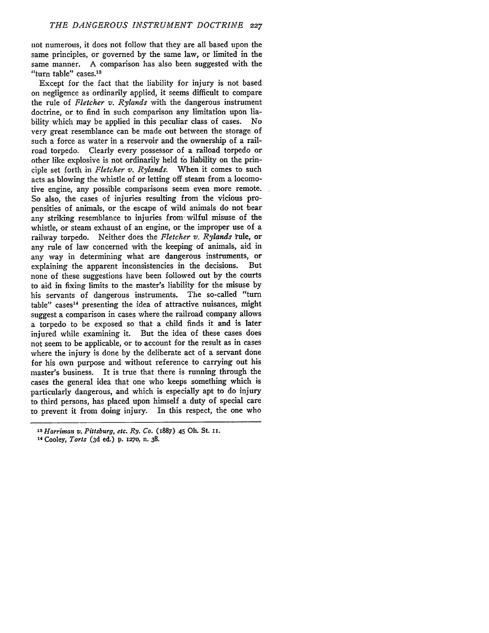not numerous, it does not follow that they are all based upon the same principles, or governed by the same law, or limited in the same manner. A comparison has also been suggested with the "turn table" cases.<sup>13</sup>

Except for the fact that the liability for injury is not based on negligence as ordinarily applied, it seems difficult to compare the rule of *Fletcher v. Rylands* with the dangerous instrument doctrine, or to find in such comparison any limitation upon liability which may be applied in this peculiar class of cases. No very great resemblance can be made out between the storage of such a force as water in a reservoir and the ownership of a railroad torpedo. Clearly every possessor of a raiload torpedo or other like explosive is not ordinarily held to liability on the principle set forth in *Fletcher v. Rylands.* When it comes to such acts as blowing the whistle of or letting off steam from a locomotive engine, any possible comparisons seem even more remote. So also, the cases of injuries resulting from the vicious propensities of animals, or the escape of wild animals do not bear any striking resemblance to injuries from wilful misuse of the whistle, or steam exhaust of an engine, or the improper use of a railway torpedo. Neither does the *Fletcher v. Rylands* rule, or any rule of law concerned with the keeping of animals, aid in any way in determining what are dangerous instruments, or<br>explaining the apparent inconsistencies in the decisions. But explaining the apparent inconsistencies in the decisions. none of these suggestions have been followed out **by** the courts to aid in fixing limits to the master's liability for the misuse **by** his servants of dangerous instruments. The so-called "turn table" cases<sup>14</sup> presenting the idea of attractive nuisances, might suggest a comparison in cases where the railroad company allows a torpedo to be exposed so that a child finds it and is later injured while examining it. But the idea of these cases does not seem to be applicable, or to account for the result as in cases where the injury is done **by** the deliberate act of a servant done for his own purpose and without reference to carrying out his master's business. It is true that there is running through the cases the general idea that one who keeps something which is particularly dangerous, and which is especially apt to do injury to third persons, has placed upon himself a duty of special care to prevent it from doing injury. In this respect, the one who

*<sup>13</sup>Harriman v. Pittsburg, etc. Ry. Co.* (1887) 45 Oh. St. **ii.**

<sup>14</sup> Cooley, Torts (3d ed.) p. 1270, n. 38.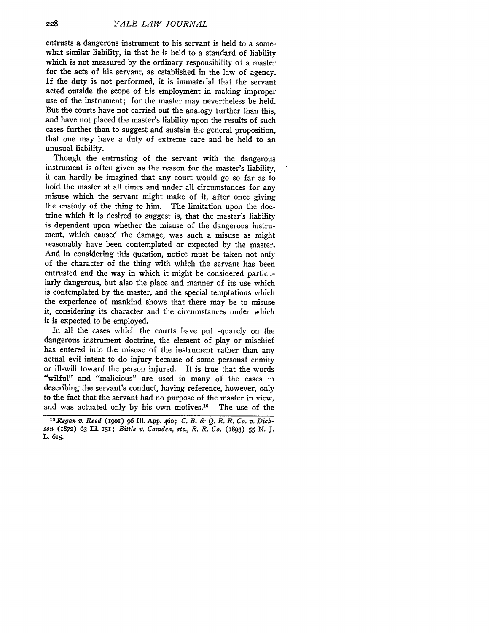entrusts a dangerous instrument to his servant is held to a somewhat similar liability, in that he is held to a standard of liability which is not measured by the ordinary responsibility of a master for the acts of his servant, as established in the law of agency. If the duty is not performed, it is immaterial that the servant acted outside the scope of his employment in making improper use of the instrument; for the master may nevertheless be held. But the courts have not carried out the analogy further than this, and have not placed the master's liability upon the results of such cases further than to suggest and sustain the general proposition, that one may have a duty of extreme care and be held to an unusual liability.

Though the entrusting of the servant with the dangerous instrument is often given as the reason for the master's liability, it can hardly be imagined that any court would go so far as to hold the master at all times and under all circumstances for any misuse which the servant might make of it, after once giving the custody of the thing to him. The limitation upon the doctrine which it is desired to suggest is, that the master's liability is dependent upon whether the misuse of the dangerous instrument, which caused the damage, was such a misuse as might reasonably have been contemplated or expected **by** the naster. And in considering this question, notice must be taken not only of the character of the thing with which the servant has been entrusted and the way in which it might be considered particularly dangerous, but also the place and manner of its use which is contemplated **by** the master, and the special temptations which the experience of mankind shows that there may be to misuse it, considering its character and the circumstances under which it is expected to be employed.

In all the cases which the courts have put squarely on the dangerous instrument doctrine, the element of play or mischief has entered into the misuse of the instrument rather than any actual evil intent to do injury because of some personal enmity or ill-will toward the person injured. It is true that the words "wilful" and "malicious" are used in many of the cases in describing the servant's conduct, having reference, however, only to the fact that the servant had no purpose of the master in view, and was actuated only **by** his own motives.15 The use of the

*<sup>15</sup> Regan v. Reed* (igoi) *96* Il1. **App.** 460; *C. B. & Q. R. R. Co. v. Dickson* (1872) *63* IM. 151; *Bittle v. Camden, etc., R. R. Co.* **(893) 55 N. J.** L. 615.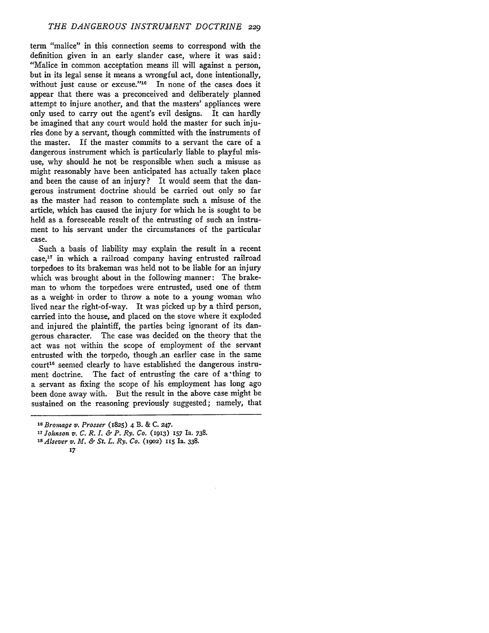term "malice" in this connection seems to correspond with the definition given in an early slander case, where it was said: "Malice in common acceptation means ill will against a person, but in its legal sense it means a wrongful act, done intentionally, without just cause or excuse."<sup>16</sup> In none of the cases does it appear that there was a preconceived and deliberately planned attempt to injure another, and that the masters' appliances were only used to carry out the agent's evil designs. It can hardly be imagined that any court would hold the master for such injuries done by a servant, though committed with the instruments of the master. If the master commits to a servant the care of a dangerous instrument which is particularly liable to playful misuse, why should he not be responsible when such a misuse as might reasonably have been anticipated has actually taken place and been the cause of an injury? It would seem that the dangerous instrument doctrine should be carried out only so far as the master had reason to contemplate such a misuse of the article, which has caused the injury for which he is sought to be held as a foreseeable result of the entrusting of such an instrument to his servant under the circumstances of the particular case.

Such a basis of liability may explain the result in a recent  $case, <sup>17</sup>$  in which a railroad company having entrusted railroad torpedoes to its brakeman was held not to be liable for an injury which was brought about in the following manner: The brakeman to whom the torpedoes were entrusted, used one of them as a weight in order to throw a note to a young woman who lived near the right-of-way. It was picked up by a third person, carried into the house, and placed on the stove where it exploded and injured the plaintiff, the parties being ignorant of its dangerous character. The case was decided on the theory that the act was not within the scope of employment of the servant entrusted with the torpedo, though .an earlier case in the same court<sup>16</sup> seemed clearly to have established the dangerous instrument doctrine. The fact of entrusting the care of a'thing to a servant as fixing the scope of his employment has long ago been done away with. But the result in the above case might be sustained on the reasoning previously suggested; namely, that

*<sup>18</sup>Bromage v. Prosser* (1825) 4 **B.** & **C. 247.**

**<sup>17</sup>***Johnson v. C. R.* L *& P. Ry. Co.* (913) **157** Ia. **738.**

**<sup>18</sup>** *Alsever v. .l. & St. L. Ry. Co.* (19o2) **115** Ia. 338.

 $T7$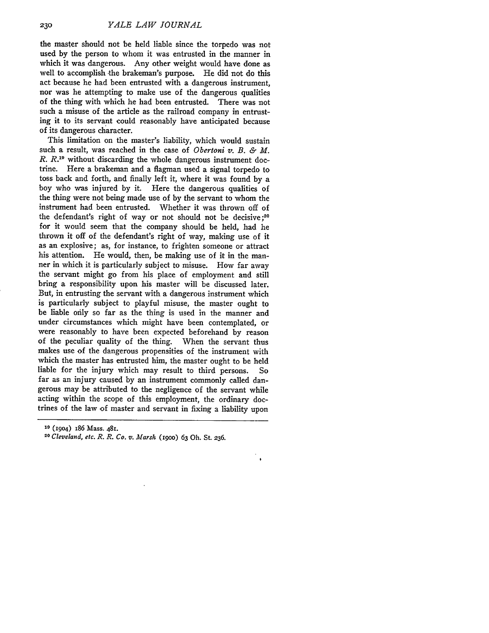the master should not be held liable since the torpedo was not used by the person to whom it was entrusted in the manner in which it was dangerous. Any other weight would have done as well to accomplish the brakeman's purpose. He did not do this act because he had been entrusted with a dangerous instrument, nor was he attempting to make use of the dangerous qualities of the thing with which he had been entrusted. There was not such a misuse of the article as the railroad company in entrusting it to its servant could reasonably have anticipated because of its dangerous character.

This limitation on the master's liability, which would sustain such a result, was reached in the case of *Obertoni v. B. & M. R. R.19* without discarding the whole dangerous instrument doctrine. Here a brakeman and a flagman used a signal torpedo to toss back and forth, and finally left it, where it was found by a boy who was injured by it. Here the dangerous qualities of the thing were not being made use of by the servant to whom the instrument had been entrusted. Whether it was thrown off of the defendant's right of way or not should not be decisive;<sup>20</sup> for it would seem that the company should be held, had he thrown it off of the defendant's right of way, making use of it as an explosive; as, for instance, to frighten someone or attract his attention. He would, then, be making use of it in the manner in which it is particularly subject to misuse. How far away the servant might go from his place of employment and still bring a responsibility upon his master will be discussed later. But, in entrusting the servant with a dangerous instrument which is particularly subject to playful misuse, the master ought to be liable only so far as the thing is used in the manner and under circumstances which might have been contemplated, or were reasonably to have been expected beforehand by reason of the peculiar quality of the thing. When the servant thus makes use of the dangerous propensities of the instrument with which the master has entrusted him, the master ought to be held liable for the injury which may result to third persons. So far as an injury caused by an instrument commonly called dangerous may be attributed to the negligence of the servant while acting within the scope of this employment, the ordinary doctrines of the law of master and servant in fixing a liability upon

**<sup>19 (19</sup>o4)** 186 Mass. 481.

*<sup>20</sup> Cleveland, etc. R. R. Co. v. Marsh* (1goo) 63 Oh. St. 236.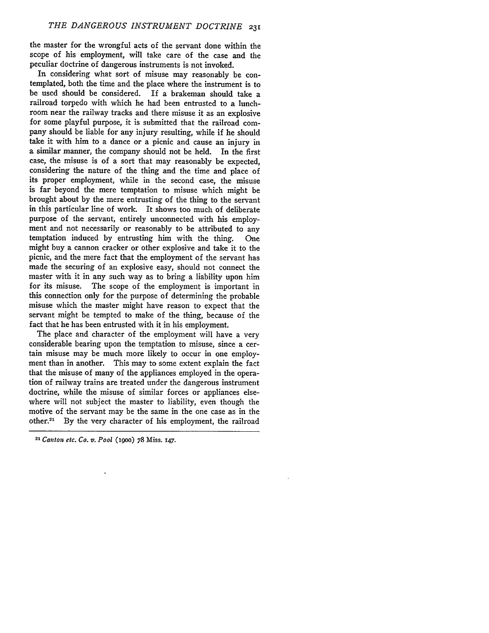the master for the wrongful acts of the servant done within the scope of his employment, will take care of the case and the peculiar doctrine of dangerous instruments is not invoked.

In considering what sort of misuse may reasonably be contemplated, both the time and the place where the instrument is to be used should be considered. If a brakeman should take a railroad torpedo with which he had been entrusted to a lunchroom near the railway tracks and there misuse it as an explosive for some playful purpose, it is submitted that the railroad company should be liable for any injury resulting, while if he should take it with him to a dance or a picnic and cause an injury in a similar manner, the company should not be held. In the first case, the misuse is of a sort that may reasonably be expected, considering the nature of the thing and the time and place of its proper employment, while in the second case, the misuse is far beyond the mere temptation to misuse which might be brought about **by** the mere entrusting of the thing to the servant in this particular line of work. It shows too much of deliberate purpose of the servant, entirely unconnected with his employment and not necessarily or reasonably to be attributed to any temptation induced **by** entrusting him with the thing. One might buy a cannon cracker or other explosive and take it to the picnic, and the mere fact that the employment of the servant has made the securing of an explosive easy, should not connect the master with it in any such way as to bring a liability upon him for its misuse. The scope of the employment is important in this connection only for the purpose of determining the probable misuse which the master might have reason to expect that the servant might be tempted to make of the thing, because of the fact that he has been entrusted with it in his employment.

The place and character of the employment will have a very considerable bearing upon the temptation to misuse, since a certain misuse may be much more likely to occur in one employment than in another. This may to some extent explain the fact that the misuse of many of the appliances employed in the operation of railway trains are treated under the dangerous instrument doctrine, while the misuse of similar forces or appliances elsewhere will not subject the master to liability, even though the motive of the servant may be the same in the one case as in the other.<sup>21</sup> By the very character of his employment, the railroad

*21 Canton etc. Co. v. Pool* (9oo) **78** Miss. **147.**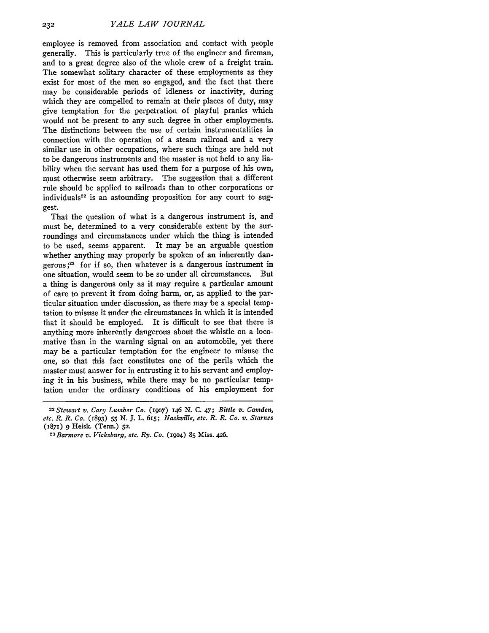employee is removed from association and contact with people generally. This is particularly true of the engineer and fireman, and to a great degree also of the whole crew of a freight train. The somewhat solitary character of these employments as they exist for most of the men so engaged, and the fact that there may be considerable periods of idleness or inactivity, during which they are compelled to remain at their places of duty, may give temptation for the perpetration of playful pranks which would not be present to any such degree in other employments. The distinctions between the use of certain instrumentalities in connection with the operation of a steam railroad and a very similar use in other occupations, where such things are held not to be dangerous instruments and the master is not held to any liability when the servant has used them for a purpose of his own, must otherwise seem arbitrary. The suggestion that a different rule should be applied to railroads than to other corporations or individuals<sup>22</sup> is an astounding proposition for any court to suggest.

That the question of what is a dangerous instrument is, and must be, determined to a very considerable extent by the surroundings and circumstances under which the thing is intended to be used, seems apparent. It may be an arguable question whether anything may properly be spoken of an inherently dangerous **;28** for if so, then whatever is a dangerous instrument in one situation, would seem to be so under all circumstances. But a thing is dangerous only as it may require a particular amount of care to prevent it from doing harm, or, as applied to the particular situation under discussion, as there may be a special temptation to misuse it under the circumstances in which it is intended that it should be employed. It is difficult to see that there is anything more inherently dangerous about the whistle on a locomative than in the warning signal on an automobile, yet there may be a particular temptation for the engineer to misuse the one, so that this fact constitutes one of the perils which the master must answer for in entrusting it to his servant and employing it in his business, while there may be no particular temptation under the ordinary conditions of his employment for

*<sup>22</sup>Stewart v. Cary Lumber Co.* **(907) 146 N.** C. **47;** *Bittle v. Camden, etc. R. R. Co.* (1893) **55 N.** J. L. 615; *Nashville, etc. R. R. Co. v. Starnes* **(1871) 9** Heisk. (Tenn.) **52.**

*<sup>2</sup> =Barmore v. Vicksbur.q, etc. Ry. Co.* (1904) **85** Miss. 426.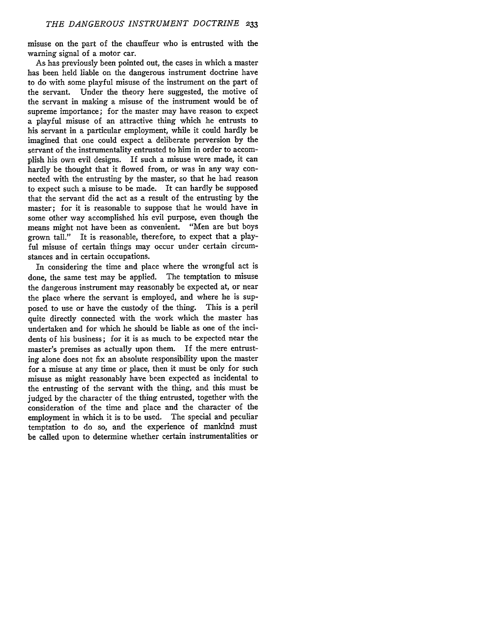misuse on the part of the chauffeur who is entrusted with the warning signal of a motor car.

As has previously been pointed out, the cases in which a master has been held liable on the dangerous instrument doctrine have to do with some playful misuse of the instrument on the part of the servant. Under the theory here suggested, the motive of the servant in making a misuse of the instrument would be of supreme importance; for the master may have reason to expect a playful misuse of an attractive thing which he entrusts to his servant in a particular employment, while it could hardly be imagined that one could expect a deliberate perversion **by** the servant of the instrumentality entrusted to him in order to accomplish his own evil designs. If such a misuse were made, it can hardly be thought that it flowed from, or was in any way connected with the entrusting **by** the master, so that he had reason to expect such a misuse to be made. It can hardly be supposed that the servant did the act as a result of the entrusting **by** the master; for it is reasonable to suppose that he would have in some other way accomplished his evil purpose, even though the means might not have been as convenient. "Men are but boys grown tall." It is reasonable, therefore, to expect that a playful misuse of certain things may occur under certain circumstances and in certain occupations.

In considering the time and place where the wrongful act is done, the same test may be applied. The temptation to misuse the dangerous instrument may reasonably be expected at, or near the place where the servant is employed, and where he is supposed to use or have the custody of the thing. This is a peril quite directly connected with the work which the master has undertaken and for which he should be liable as one of the incidents of his business; for it is as much to be expected near the master's premises as actually upon them. If the mere entrusting alone does not fix an absolute responsibility upon the master for a misuse at any time or place, then it must be only for such misuse as might reasonably have been expected as incidental to the entrusting of the servant with the thing, and this must be judged **by** the character of the thing entrusted, together with the consideration of the time and place and the character **of** the employment in which it is to be used. The special and peculiar temptation to do so, and the experience of mankind must be called upon to determine whether certain instrumentalities or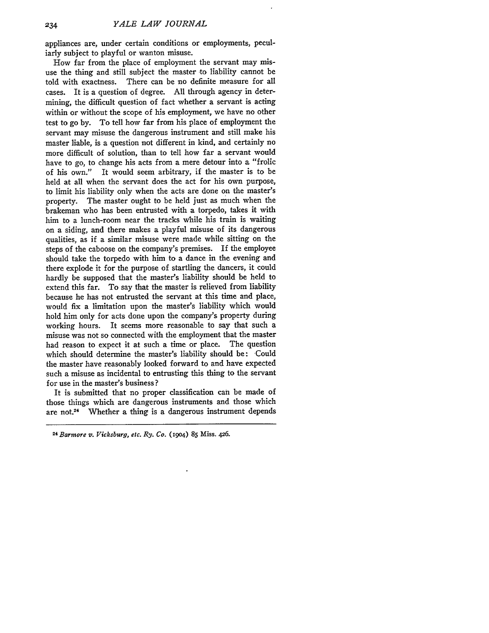appliances are, under certain conditions or employments, peculiarly subject to playful or wanton misuse.

How far from the place of employment the servant may misuse the thing and still subject the master to liability cannot be told with exactness. There can be no definite measure for all cases. It is a question of degree. **All** through agency in determining, the difficult question of fact whether a servant is acting within or without the scope of his employment, we have no other test to go **by.** To tell how far from his place of employment the servant may misuse the dangerous instrument and still make his master liable, is a question not different in kind, and certainly no more difficult of solution, than to tell how far a servant would have to go, to change his acts from a mere detour into a "frolic of his own." It would seem arbitrary, if the master is to be held at all when the servant does the act for his own purpose, to limit his liability only when the acts are done on the master's property. The master ought to be held just as much when the brakeman who has been entrusted with a torpedo, takes it with him to a lunch-room near the tracks while his train is waiting on a siding, and there makes a playful misuse of its dangerous qualities, as if a similar misuse were made while sitting on the steps of the caboose on the company's premises. If the employee should take the torpedo with him to a dance in the evening and there explode it for the purpose of startling the dancers, it could hardly be supposed that the master's liability should be held to extend this far. To say that the master is relieved from liability because he has not entrusted the servant at this time and place, would fix a limitation upon the master's liability which would hold him only for acts done upon the company's property during working hours. It seems more reasonable to say that such a misuse was not so connected with the employment that the master had reason to expect it at such a time or place. The question which should determine the master's liability should be: Could the master have reasonably looked forward to and have expected such a misuse as incidental to entrusting this thing to the servant for use in the master's business?

It is submitted that no proper classification can be made of those things which are dangerous instruments and those which are not.<sup>24</sup> Whether a thing is a dangerous instrument depends

*<sup>24</sup> Barmore v. Vicksburg, etc. Ry. Co.* (904) **85** Miss. 426.